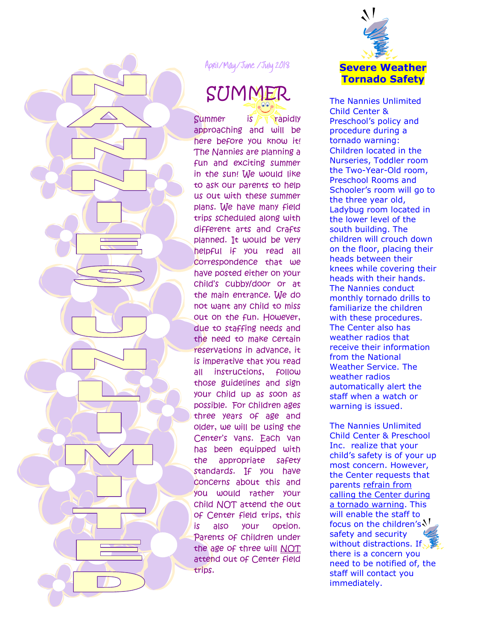

April/May/June /July April/May/June /July 2018

# SUMMER

 $S$ ummer is  $\sqrt{s}$  rapidly approaching and will be here before you know it! The Nannies are planning a fun and exciting summer in the sun! We would like to ask our parents to help us out with these summer plans. We have many field trips scheduled along with different arts and crafts planned. It would be very helpful if you read all correspondence that we have posted either on your child's cubby/door or at the main entrance. We do not want any child to miss out on the fun. However, due to staffing needs and the need to make certain reservations in advance, it is imperative that you read all instructions, follow those guidelines and sign your child up as soon as possible. For children ages three years of age and older, we will be using the Center's vans. Each van has been equipped with the appropriate safety standards. If you have concerns about this and you would rather your child NOT attend the out of Center field trips, this is also your option. Parents of children under the age of three will NOT attend out of Center field trips.



The Nannies Unlimited Child Center & Preschool's policy and procedure during a tornado warning: Children located in the Nurseries, Toddler room the Two-Year-Old room, Preschool Rooms and Schooler's room will go to the three year old, Ladybug room located in the lower level of the south building. The children will crouch down on the floor, placing their heads between their knees while covering their heads with their hands. The Nannies conduct monthly tornado drills to familiarize the children with these procedures. The Center also has weather radios that receive their information from the National Weather Service. The weather radios automatically alert the staff when a watch or warning is issued.

The Nannies Unlimited Child Center & Preschool Inc. realize that your child's safety is of your up most concern. However, the Center requests that parents refrain from calling the Center during a tornado warning. This will enable the staff to focus on the children's  $\mathcal{N}_1$ safety and security without distractions. If there is a concern you need to be notified of, the staff will contact you immediately.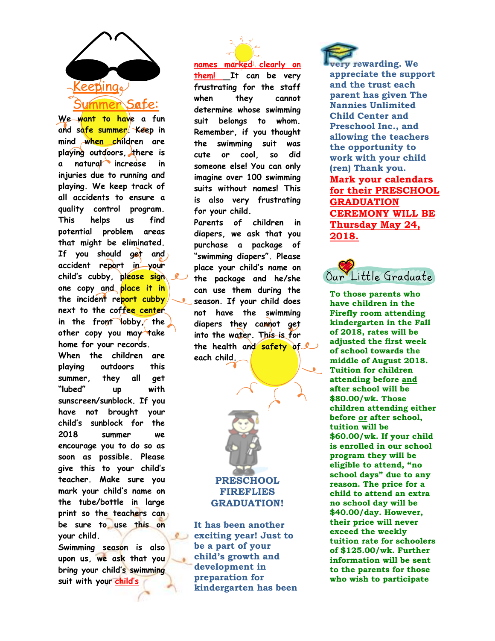

**We want to have a fun and safe summer. Keep in mind when children are playing outdoors, there is a natural increase in injuries due to running and playing. We keep track of all accidents to ensure a quality control program. This helps us find potential problem areas that might be eliminated. If you should get and accident report in your child's cubby, please sign one copy and place it in the incident report cubby next to the coffee center in the front lobby, the other copy you may take home for your records. When the children are playing outdoors this summer, they all get "lubed" up with sunscreen/sunblock. If you have not brought your child's sunblock for the 2018 summer we encourage you to do so as soon as possible. Please give this to your child's teacher. Make sure you mark your child's name on the tube/bottle in large print so the teachers can be sure to use this on your child.** 

**Swimming season is also upon us, we ask that you bring your child's swimming suit with you**r **child's** 

**names marked clearly on them! It can be very frustrating for the staff when they cannot determine whose swimming suit belongs to whom. Remember, if you thought the swimming suit was cute or cool, so did someone else! You can only imagine over 100 swimming suits without names! This is also very frustrating for your child.** 

**Parents of children in diapers, we ask that you purchase a package of "swimming diapers". Please place your child's name on the package and he/she can use them during the season. If your child does not have the swimming**  diapers they cannot get **into the water. This is for the health and safety of each child.** 



**It has been another exciting year! Just to be a part of your child's growth and development in preparation for kindergarten has been** 

 $\circ$ 

**very rewarding. We appreciate the support and the trust each parent has given The Nannies Unlimited Child Center and Preschool Inc., and allowing the teachers the opportunity to work with your child (ren) Thank you. Mark your calendars for their PRESCHOOL GRADUATION CEREMONY WILL BE Thursday May 24, 2018.** 



**To those parents who have children in the Firefly room attending kindergarten in the Fall of 2018, rates will be adjusted the first week of school towards the middle of August 2018. Tuition for children attending before and after school will be \$80.00/wk. Those children attending either before or after school, tuition will be \$60.00/wk. If your child is enrolled in our school program they will be eligible to attend, "no school days" due to any reason. The price for a child to attend an extra no school day will be \$40.00/day. However, their price will never exceed the weekly tuition rate for schoolers of \$125.00/wk. Further information will be sent to the parents for those who wish to participate**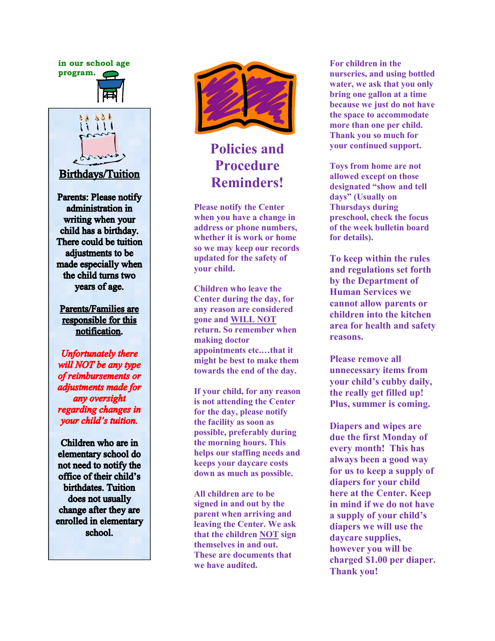**in our school age program.** 





**Birthdays/Tuition** 

**Parents: Please notify** administration in writing when your child has a birthday. There could be tuition adjustments to be made especially when the child turns two years of age.

**Parents/Families are** responsible for this notification.

**Unfortunately there** will NOT be any type of reimbursements or adjustments made for any oversight regarding changes in your child's tuition.

Children who are in elementary school do not need to notify the office of their child's birthdates. Tuition does not usually change after they are enrolled in elementary school.



### **Policies and Procedure Reminders!**

**Please notify the Center when you have a change in address or phone numbers, whether it is work or home so we may keep our records updated for the safety of your child.** 

**Children who leave the Center during the day, for any reason are considered gone and WILL NOT return. So remember when making doctor appointments etc.…that it might be best to make them towards the end of the day.** 

**If your child, for any reason is not attending the Center for the day, please notify the facility as soon as possible, preferably during the morning hours. This helps our staffing needs and keeps your daycare costs down as much as possible.** 

**All children are to be signed in and out by the parent when arriving and leaving the Center. We ask that the children NOT sign themselves in and out. These are documents that we have audited.** 

**For children in the nurseries, and using bottled water, we ask that you only bring one gallon at a time because we just do not have the space to accommodate more than one per child. Thank you so much for your continued support.** 

**Toys from home are not allowed except on those designated "show and tell days" (Usually on Thursdays during preschool, check the focus of the week bulletin board for details).** 

**To keep within the rules and regulations set forth by the Department of Human Services we cannot allow parents or children into the kitchen area for health and safety reasons.** 

**Please remove all unnecessary items from your child's cubby daily, the really get filled up! Plus, summer is coming.** 

**Diapers and wipes are due the first Monday of every month! This has always been a good way for us to keep a supply of diapers for your child here at the Center. Keep in mind if we do not have a supply of your child's diapers we will use the daycare supplies, however you will be charged \$1.00 per diaper. Thank you!**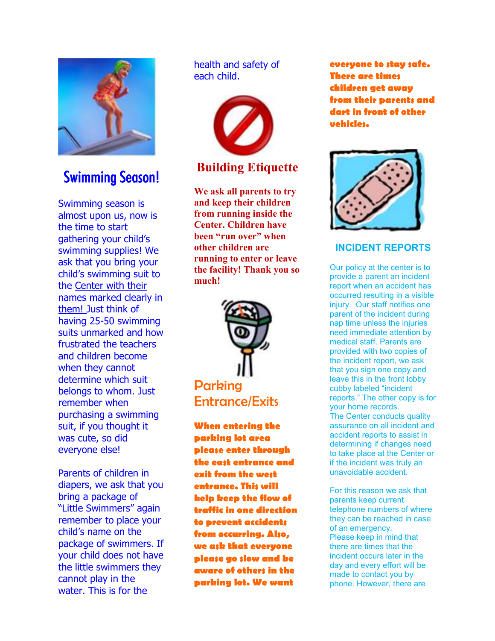

### **Swimming Season!**

Swimming season is almost upon us, now is the time to start gathering your child's swimming supplies! We ask that you bring your child's swimming suit to the Center with their names marked clearly in them! Just think of having 25-50 swimming suits unmarked and how frustrated the teachers and children become when they cannot determine which suit belongs to whom. Just remember when purchasing a swimming suit, if you thought it was cute, so did everyone else!

Parents of children in diapers, we ask that you bring a package of "Little Swimmers" again remember to place your child's name on the package of swimmers. If your child does not have the little swimmers they cannot play in the water. This is for the

#### health and safety of each child.



### **Building Etiquette**

**We ask all parents to try and keep their children from running inside the Center. Children have been "run over" when other children are running to enter or leave the facility! Thank you so much!** 



**When entering the parking lot area please enter through the east entrance and exit from the west entrance. This will help keep the flow of traffic in one direction to prevent accidents from occurring. Also, we ask that everyone please go slow and be aware of others in the parking lot. We want** 

**everyone to stay safe. There are times children get away from their parents and dart in front of other vehicles.** 



#### **INCIDENT REPORTS**

Our policy at the center is to provide a parent an incident report when an accident has occurred resulting in a visible injury. Our staff notifies one parent of the incident during nap time unless the injuries need immediate attention by medical staff. Parents are provided with two copies of the incident report, we ask that you sign one copy and leave this in the front lobby cubby labeled "incident reports." The other copy is for your home records. The Center conducts quality assurance on all incident and accident reports to assist in determining if changes need to take place at the Center or if the incident was truly an unavoidable accident.

For this reason we ask that parents keep current telephone numbers of where they can be reached in case of an emergency. Please keep in mind that there are times that the incident occurs later in the day and every effort will be made to contact you by phone. However, there are